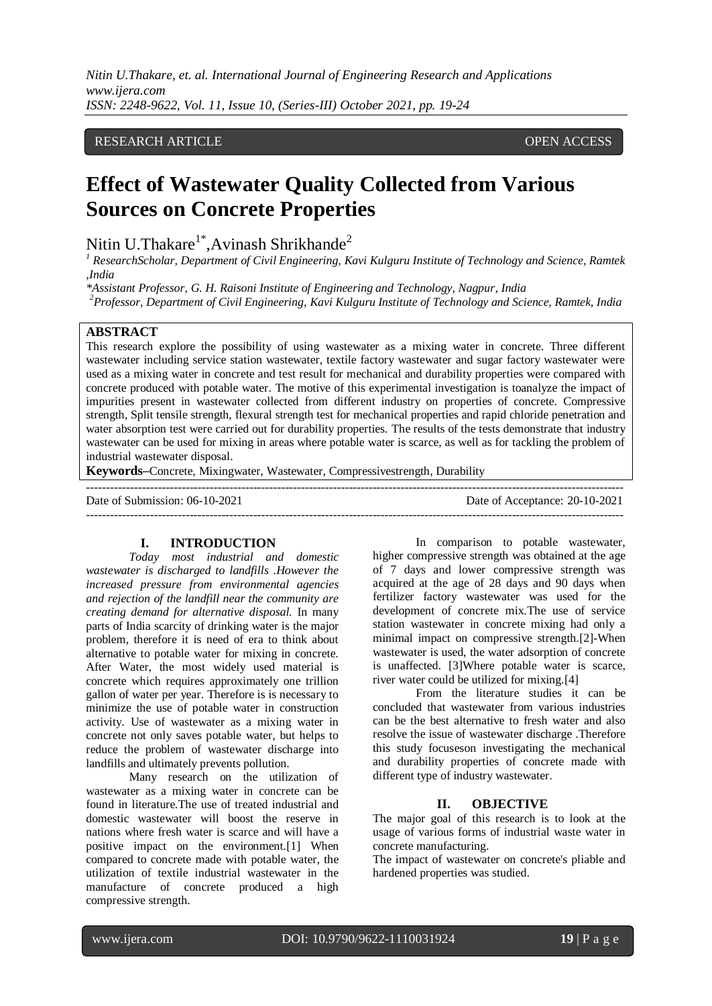*Nitin U.Thakare, et. al. International Journal of Engineering Research and Applications www.ijera.com ISSN: 2248-9622, Vol. 11, Issue 10, (Series-III) October 2021, pp. 19-24*

# RESEARCH ARTICLE **CONSERVERS** OPEN ACCESS

# **Effect of Wastewater Quality Collected from Various Sources on Concrete Properties**

Nitin U.Thakare $^{1^*}$ ,Avinash Shrikhande $^2$ 

*<sup>1</sup> ResearchScholar, Department of Civil Engineering, Kavi Kulguru Institute of Technology and Science, Ramtek ,India*

*\*Assistant Professor, G. H. Raisoni Institute of Engineering and Technology, Nagpur, India*

*<sup>2</sup>Professor, Department of Civil Engineering, Kavi Kulguru Institute of Technology and Science, Ramtek, India*

#### **ABSTRACT**

This research explore the possibility of using wastewater as a mixing water in concrete. Three different wastewater including service station wastewater, textile factory wastewater and sugar factory wastewater were used as a mixing water in concrete and test result for mechanical and durability properties were compared with concrete produced with potable water. The motive of this experimental investigation is toanalyze the impact of impurities present in wastewater collected from different industry on properties of concrete. Compressive strength, Split tensile strength, flexural strength test for mechanical properties and rapid chloride penetration and water absorption test were carried out for durability properties. The results of the tests demonstrate that industry wastewater can be used for mixing in areas where potable water is scarce, as well as for tackling the problem of industrial wastewater disposal.

**Keywords–**Concrete, Mixingwater, Wastewater, Compressivestrength, Durability

| Date of Submission: 06-10-2021 | Date of Acceptance: 20-10-2021 |
|--------------------------------|--------------------------------|
|                                |                                |

## **I. INTRODUCTION**

*Today most industrial and domestic wastewater is discharged to landfills .However the increased pressure from environmental agencies and rejection of the landfill near the community are creating demand for alternative disposal.* In many parts of India scarcity of drinking water is the major problem, therefore it is need of era to think about alternative to potable water for mixing in concrete. After Water, the most widely used material is concrete which requires approximately one trillion gallon of water per year. Therefore is is necessary to minimize the use of potable water in construction activity. Use of wastewater as a mixing water in concrete not only saves potable water, but helps to reduce the problem of wastewater discharge into landfills and ultimately prevents pollution.

Many research on the utilization of wastewater as a mixing water in concrete can be found in literature.The use of treated industrial and domestic wastewater will boost the reserve in nations where fresh water is scarce and will have a positive impact on the environment.[1] When compared to concrete made with potable water, the utilization of textile industrial wastewater in the manufacture of concrete produced a high compressive strength.

In comparison to potable wastewater, higher compressive strength was obtained at the age of 7 days and lower compressive strength was acquired at the age of 28 days and 90 days when fertilizer factory wastewater was used for the development of concrete mix.The use of service station wastewater in concrete mixing had only a minimal impact on compressive strength.[2]-When wastewater is used, the water adsorption of concrete is unaffected. [3]Where potable water is scarce, river water could be utilized for mixing.[4]

From the literature studies it can be concluded that wastewater from various industries can be the best alternative to fresh water and also resolve the issue of wastewater discharge .Therefore this study focuseson investigating the mechanical and durability properties of concrete made with different type of industry wastewater.

#### **II. OBJECTIVE**

The major goal of this research is to look at the usage of various forms of industrial waste water in concrete manufacturing.

The impact of wastewater on concrete's pliable and hardened properties was studied.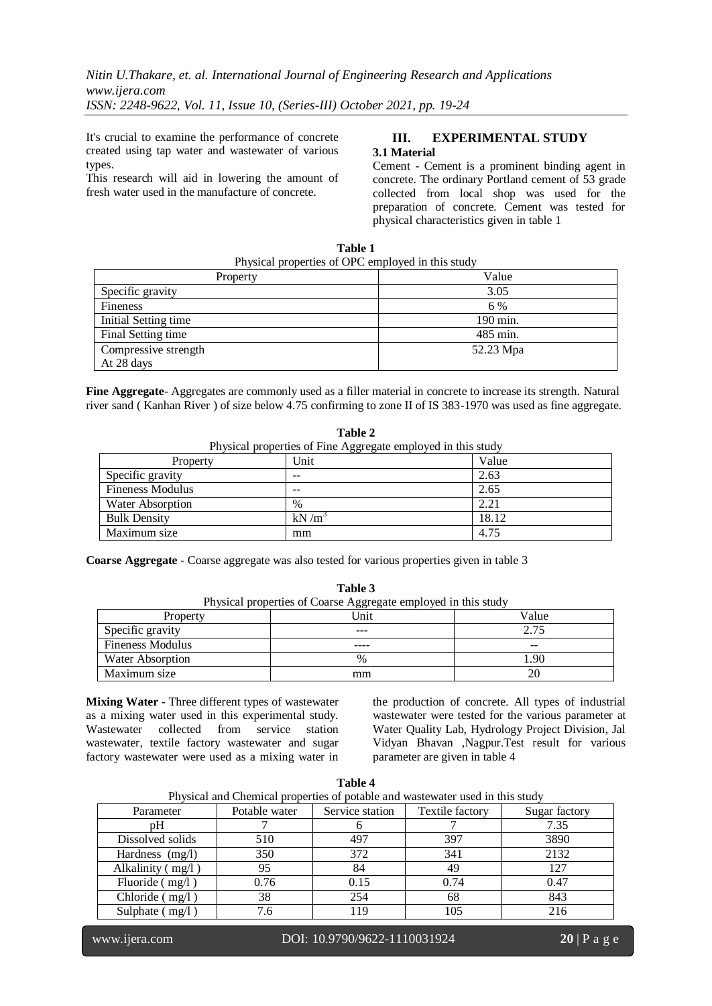It's crucial to examine the performance of concrete created using tap water and wastewater of various types.

This research will aid in lowering the amount of fresh water used in the manufacture of concrete.

## **III. EXPERIMENTAL STUDY 3.1 Material**

Cement - Cement is a prominent binding agent in concrete. The ordinary Portland cement of 53 grade collected from local shop was used for the preparation of concrete. Cement was tested for physical characteristics given in table 1

| Physical properties of OPC employed in this study |           |  |  |  |  |
|---------------------------------------------------|-----------|--|--|--|--|
| Property                                          | Value     |  |  |  |  |
| Specific gravity                                  | 3.05      |  |  |  |  |
| <b>Fineness</b>                                   | 6 %       |  |  |  |  |
| Initial Setting time                              | 190 min.  |  |  |  |  |
| Final Setting time                                | 485 min.  |  |  |  |  |
| Compressive strength                              | 52.23 Mpa |  |  |  |  |
| At 28 days                                        |           |  |  |  |  |

**Table 1**

**Fine Aggregate**- Aggregates are commonly used as a filler material in concrete to increase its strength. Natural river sand ( Kanhan River ) of size below 4.75 confirming to zone II of IS 383-1970 was used as fine aggregate.

**Table 2** Physical properties of Fine Aggregate employed in this study Property Unit Value Specific gravity  $\vert -\vert$  2.63 Fineness Modulus 2.65 Water Absorption  $\frac{1}{2}$  2.21 **Bulk Density**  $kN/m^3$ 18.12

**Coarse Aggregate** - Coarse aggregate was also tested for various properties given in table 3

Maximum size mm 1.75

| Physical properties of Coarse Aggregate employed in this study |      |       |  |  |  |
|----------------------------------------------------------------|------|-------|--|--|--|
| Property                                                       | Unit | Value |  |  |  |
| Specific gravity                                               |      | 2.75  |  |  |  |
| <b>Fineness Modulus</b>                                        |      | --    |  |  |  |
| Water Absorption                                               | $\%$ | .90   |  |  |  |
| Maximum size                                                   | mm   | 20    |  |  |  |

**Table 3**

**Mixing Water** - Three different types of wastewater as a mixing water used in this experimental study. Wastewater collected from service station wastewater, textile factory wastewater and sugar factory wastewater were used as a mixing water in

the production of concrete. All types of industrial wastewater were tested for the various parameter at Water Quality Lab, Hydrology Project Division, Jal Vidyan Bhavan ,Nagpur.Test result for various parameter are given in table 4

| Physical and Chemical properties of potable and wastewater used in this study |               |                 |                 |               |  |
|-------------------------------------------------------------------------------|---------------|-----------------|-----------------|---------------|--|
| Parameter                                                                     | Potable water | Service station | Textile factory | Sugar factory |  |
| pH                                                                            |               |                 |                 | 7.35          |  |
| Dissolved solids                                                              | 510           | 497             | 397             | 3890          |  |
| Hardness (mg/l)                                                               | 350           | 372             | 341             | 2132          |  |
| Alkalinity $(mg/l)$                                                           | 95            | 84              | 49              | 127           |  |
| Fluoride $(mg/l)$                                                             | 0.76          | 0.15            | 0.74            | 0.47          |  |
| Chloride (mg/l)                                                               | 38            | 254             | 68              | 843           |  |
| Sulphate $(mg/l)$                                                             | 7.6           | 119             | 105             | 216           |  |

**Table 4**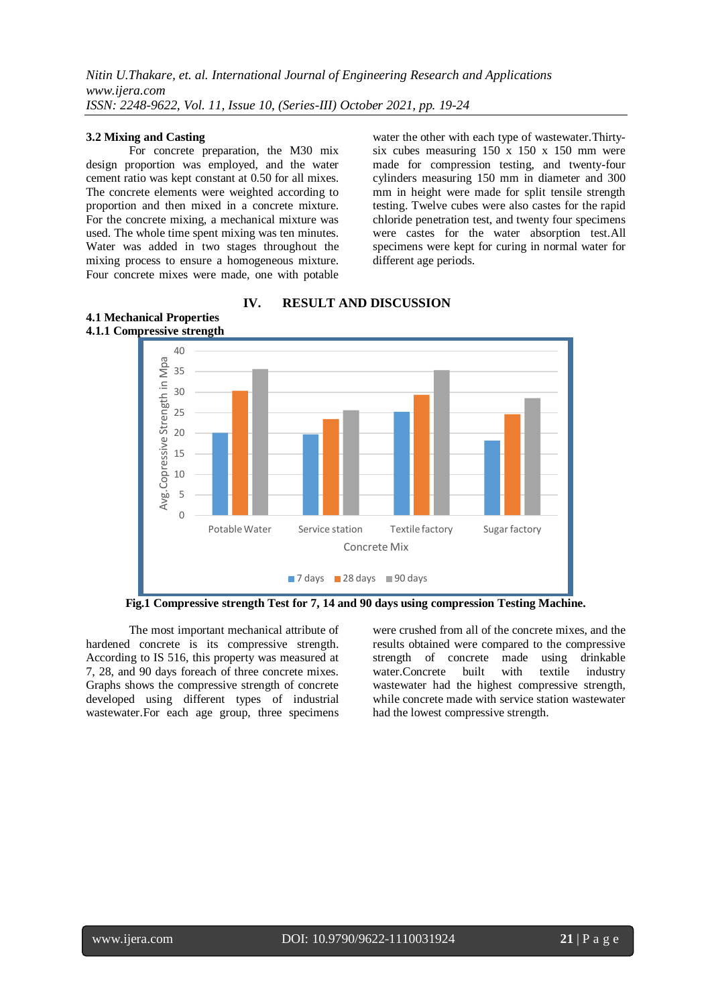#### **3.2 Mixing and Casting**

**4.1 Mechanical Properties**

For concrete preparation, the M30 mix design proportion was employed, and the water cement ratio was kept constant at 0.50 for all mixes. The concrete elements were weighted according to proportion and then mixed in a concrete mixture. For the concrete mixing, a mechanical mixture was used. The whole time spent mixing was ten minutes. Water was added in two stages throughout the mixing process to ensure a homogeneous mixture. Four concrete mixes were made, one with potable water the other with each type of wastewater.Thirtysix cubes measuring 150 x 150 x 150 mm were made for compression testing, and twenty-four cylinders measuring 150 mm in diameter and 300 mm in height were made for split tensile strength testing. Twelve cubes were also castes for the rapid chloride penetration test, and twenty four specimens were castes for the water absorption test.All specimens were kept for curing in normal water for different age periods.



**IV. RESULT AND DISCUSSION**

**Fig.1 Compressive strength Test for 7, 14 and 90 days using compression Testing Machine.**

The most important mechanical attribute of hardened concrete is its compressive strength. According to IS 516, this property was measured at 7, 28, and 90 days foreach of three concrete mixes. Graphs shows the compressive strength of concrete developed using different types of industrial wastewater. For each age group, three specimens

were crushed from all of the concrete mixes, and the results obtained were compared to the compressive strength of concrete made using drinkable water.Concrete built with textile industry wastewater had the highest compressive strength, while concrete made with service station wastewater had the lowest compressive strength.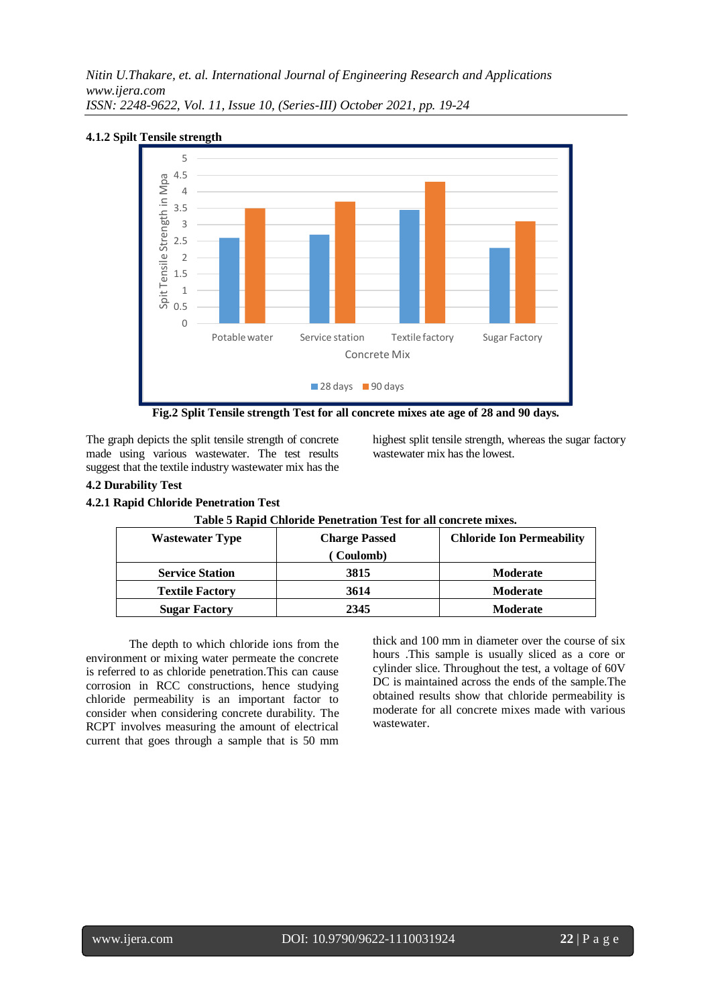*Nitin U.Thakare, et. al. International Journal of Engineering Research and Applications www.ijera.com ISSN: 2248-9622, Vol. 11, Issue 10, (Series-III) October 2021, pp. 19-24*



## **4.1.2 Spilt Tensile strength**

**Fig.2 Split Tensile strength Test for all concrete mixes ate age of 28 and 90 days.**

The graph depicts the split tensile strength of concrete made using various wastewater. The test results suggest that the textile industry wastewater mix has the highest split tensile strength, whereas the sugar factory wastewater mix has the lowest.

#### **4.2 Durability Test**

#### **4.2.1 Rapid Chloride Penetration Test**

| <b>Wastewater Type</b> | <b>Charge Passed</b> | <b>Chloride Ion Permeability</b> |  |  |
|------------------------|----------------------|----------------------------------|--|--|
|                        | Coulomb)             |                                  |  |  |
| <b>Service Station</b> | 3815                 | <b>Moderate</b>                  |  |  |
| <b>Textile Factory</b> | 3614                 | <b>Moderate</b>                  |  |  |
| <b>Sugar Factory</b>   | 2345                 | <b>Moderate</b>                  |  |  |

# **Table 5 Rapid Chloride Penetration Test for all concrete mixes.**

The depth to which chloride ions from the environment or mixing water permeate the concrete is referred to as chloride penetration.This can cause corrosion in RCC constructions, hence studying chloride permeability is an important factor to consider when considering concrete durability. The RCPT involves measuring the amount of electrical current that goes through a sample that is 50 mm thick and 100 mm in diameter over the course of six hours .This sample is usually sliced as a core or cylinder slice. Throughout the test, a voltage of 60V DC is maintained across the ends of the sample.The obtained results show that chloride permeability is moderate for all concrete mixes made with various wastewater.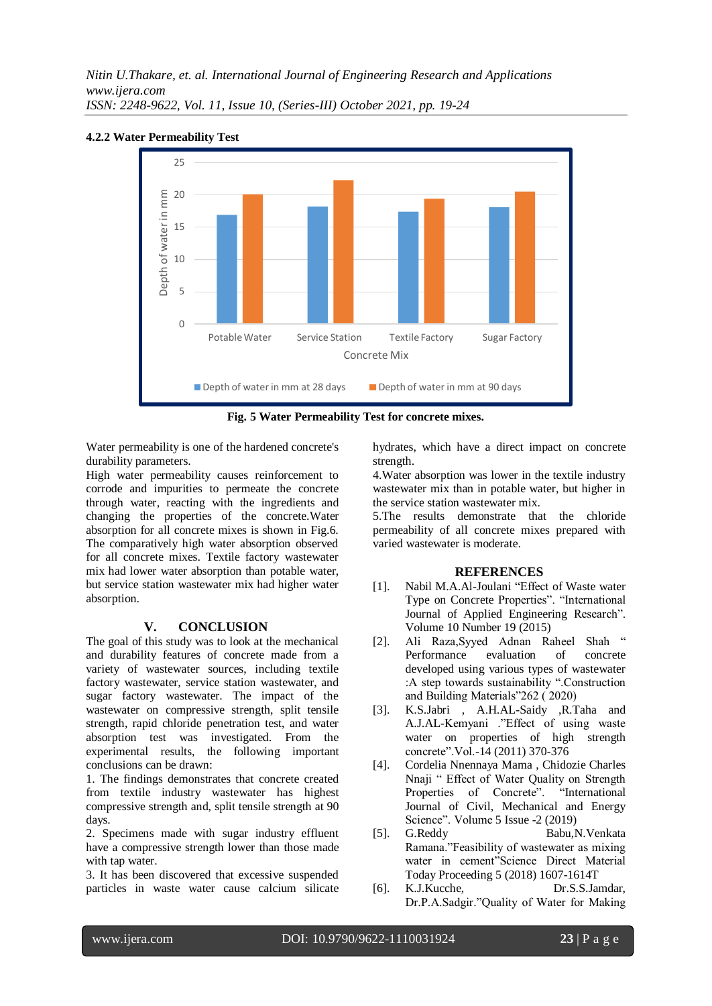

# **4.2.2 Water Permeability Test**



Water permeability is one of the hardened concrete's durability parameters.

High water permeability causes reinforcement to corrode and impurities to permeate the concrete through water, reacting with the ingredients and changing the properties of the concrete.Water absorption for all concrete mixes is shown in Fig.6. The comparatively high water absorption observed for all concrete mixes. Textile factory wastewater mix had lower water absorption than potable water, but service station wastewater mix had higher water absorption.

#### **V. CONCLUSION**

The goal of this study was to look at the mechanical and durability features of concrete made from a variety of wastewater sources, including textile factory wastewater, service station wastewater, and sugar factory wastewater. The impact of the wastewater on compressive strength, split tensile strength, rapid chloride penetration test, and water absorption test was investigated. From the experimental results, the following important conclusions can be drawn:

1. The findings demonstrates that concrete created from textile industry wastewater has highest compressive strength and, split tensile strength at 90 days.

2. Specimens made with sugar industry effluent have a compressive strength lower than those made with tap water.

3. It has been discovered that excessive suspended particles in waste water cause calcium silicate hydrates, which have a direct impact on concrete strength.

4.Water absorption was lower in the textile industry wastewater mix than in potable water, but higher in the service station wastewater mix.

5.The results demonstrate that the chloride permeability of all concrete mixes prepared with varied wastewater is moderate.

#### **REFERENCES**

- [1]. Nabil M.A.Al-Joulani "Effect of Waste water Type on Concrete Properties". "International Journal of Applied Engineering Research". Volume 10 Number 19 (2015)
- [2]. Ali Raza,Syyed Adnan Raheel Shah " Performance evaluation of concrete developed using various types of wastewater :A step towards sustainability ".Construction and Building Materials"262 ( 2020)
- [3]. K.S.Jabri , A.H.AL-Saidy ,R.Taha and A.J.AL-Kemyani ."Effect of using waste water on properties of high strength concrete".Vol.-14 (2011) 370-376
- [4]. Cordelia Nnennaya Mama , Chidozie Charles Nnaji " Effect of Water Quality on Strength Properties of Concrete". "International Journal of Civil, Mechanical and Energy Science". Volume 5 Issue -2 (2019)
- [5]. G.Reddy Babu,N.Venkata Ramana."Feasibility of wastewater as mixing water in cement"Science Direct Material Today Proceeding 5 (2018) 1607-1614T
- [6]. K.J.Kucche, Dr.S.S.Jamdar, Dr.P.A.Sadgir."Quality of Water for Making